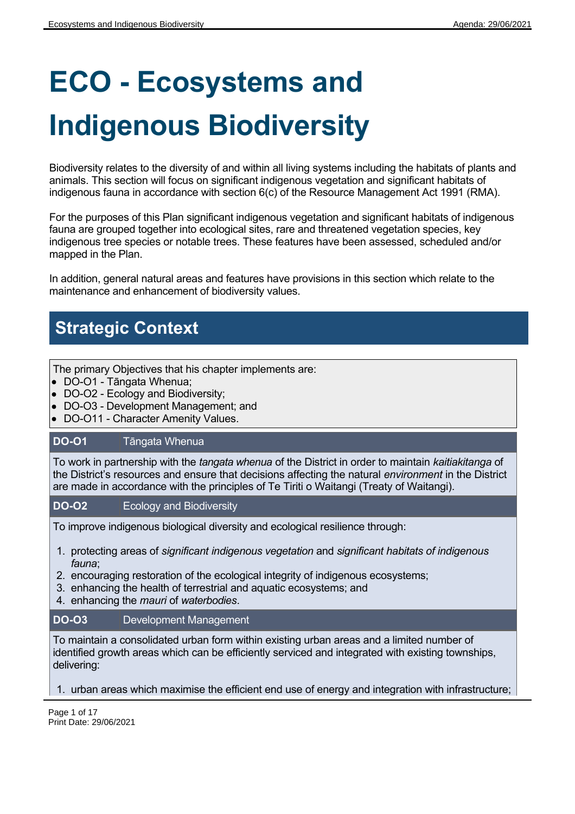# **ECO - Ecosystems and Indigenous Biodiversity**

Biodiversity relates to the diversity of and within all living systems including the habitats of plants and animals. This section will focus on significant indigenous vegetation and significant habitats of indigenous fauna in accordance with section 6(c) of the Resource Management Act 1991 (RMA).

For the purposes of this Plan significant indigenous vegetation and significant habitats of indigenous fauna are grouped together into ecological sites, rare and threatened vegetation species, key indigenous tree species or notable trees. These features have been assessed, scheduled and/or mapped in the Plan.

In addition, general natural areas and features have provisions in this section which relate to the maintenance and enhancement of biodiversity values.

## **Strategic Context**

The primary Objectives that his chapter implements are:

- DO-O1 Tāngata Whenua;
- DO-O2 Ecology and Biodiversity;
- DO-O3 Development Management; and
- DO-O11 Character Amenity Values.

#### **DO-O1** Tāngata Whenua

To work in partnership with the *tangata whenua* of the District in order to maintain *kaitiakitanga* of the District's resources and ensure that decisions affecting the natural *environment* in the District are made in accordance with the principles of Te Tiriti o Waitangi (Treaty of Waitangi).

#### **DO-O2**  Ecology and Biodiversity

To improve indigenous biological diversity and ecological resilience through:

- 1. protecting areas of *significant indigenous vegetation* and *significant habitats of indigenous fauna*;
- 2. encouraging restoration of the ecological integrity of indigenous ecosystems;
- 3. enhancing the health of terrestrial and aquatic ecosystems; and
- 4. enhancing the *mauri* of *waterbodies*.

#### **DO-O3** Development Management

To maintain a consolidated urban form within existing urban areas and a limited number of identified growth areas which can be efficiently serviced and integrated with existing townships, delivering:

1. urban areas which maximise the efficient end use of energy and integration with infrastructure;

Page 1 of 17 Print Date: 29/06/2021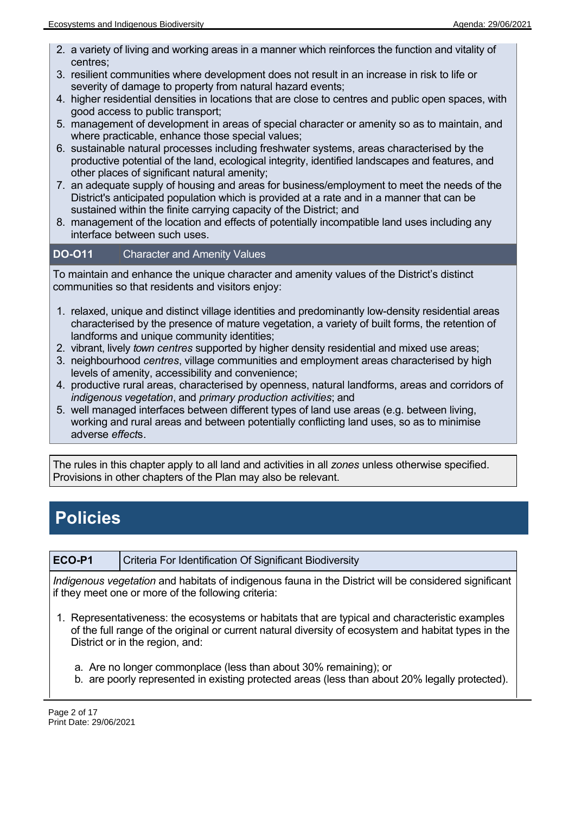- 2. a variety of living and working areas in a manner which reinforces the function and vitality of centres;
- 3. resilient communities where development does not result in an increase in risk to life or severity of damage to property from natural hazard events;
- 4. higher residential densities in locations that are close to centres and public open spaces, with good access to public transport;
- 5. management of development in areas of special character or amenity so as to maintain, and where practicable, enhance those special values;
- 6. sustainable natural processes including freshwater systems, areas characterised by the productive potential of the land, ecological integrity, identified landscapes and features, and other places of significant natural amenity;
- 7. an adequate supply of housing and areas for business/employment to meet the needs of the District's anticipated population which is provided at a rate and in a manner that can be sustained within the finite carrying capacity of the District; and
- 8. management of the location and effects of potentially incompatible land uses including any interface between such uses.

#### **DO-O11** Character and Amenity Values

To maintain and enhance the unique character and amenity values of the District's distinct communities so that residents and visitors enjoy:

- 1. relaxed, unique and distinct village identities and predominantly low-density residential areas characterised by the presence of mature vegetation, a variety of built forms, the retention of landforms and unique community identities;
- 2. vibrant, lively *town centres* supported by higher density residential and mixed use areas;
- 3. neighbourhood *centres*, village communities and employment areas characterised by high levels of amenity, accessibility and convenience;
- 4. productive rural areas, characterised by openness, natural landforms, areas and corridors of *indigenous vegetation*, and *primary production activities*; and
- 5. well managed interfaces between different types of land use areas (e.g. between living, working and rural areas and between potentially conflicting land uses, so as to minimise adverse *effect*s.

The rules in this chapter apply to all land and activities in all *zones* unless otherwise specified. Provisions in other chapters of the Plan may also be relevant.

## **Policies**

**ECO-P1** Criteria For Identification Of Significant Biodiversity

*Indigenous vegetation* and habitats of indigenous fauna in the District will be considered significant if they meet one or more of the following criteria:

- 1. Representativeness: the ecosystems or habitats that are typical and characteristic examples of the full range of the original or current natural diversity of ecosystem and habitat types in the District or in the region, and:
	- a. Are no longer commonplace (less than about 30% remaining); or
	- b. are poorly represented in existing protected areas (less than about 20% legally protected).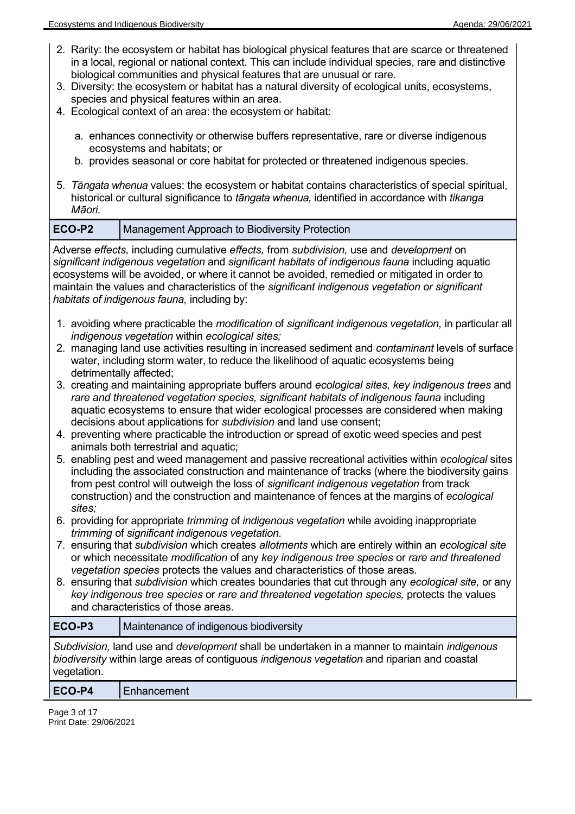- 2. Rarity: the ecosystem or habitat has biological physical features that are scarce or threatened in a local, regional or national context. This can include individual species, rare and distinctive biological communities and physical features that are unusual or rare.
- 3. Diversity: the ecosystem or habitat has a natural diversity of ecological units, ecosystems, species and physical features within an area.
- 4. Ecological context of an area: the ecosystem or habitat:
	- a. enhances connectivity or otherwise buffers representative, rare or diverse indigenous ecosystems and habitats; or
	- b. provides seasonal or core habitat for protected or threatened indigenous species.
- 5. *Tāngata whenua* values: the ecosystem or habitat contains characteristics of special spiritual, historical or cultural significance to *tāngata whenua,* identified in accordance with *tikanga Māori.*

#### **ECO-P2** Management Approach to Biodiversity Protection

Adverse *effects,* including cumulative *effects,* from *subdivision,* use and *development* on *significant indigenous vegetation* and *significant habitats of indigenous fauna* including aquatic ecosystems will be avoided, or where it cannot be avoided, remedied or mitigated in order to maintain the values and characteristics of the *significant indigenous vegetation or significant habitats of indigenous fauna,* including by:

- 1. avoiding where practicable the *modification* of *significant indigenous vegetation,* in particular all *indigenous vegetation* within *ecological sites;*
- 2. managing land use activities resulting in increased sediment and *contaminant* levels of surface water, including storm water, to reduce the likelihood of aquatic ecosystems being detrimentally affected;
- 3. creating and maintaining appropriate buffers around *ecological sites, key indigenous trees* and rare and threatened vegetation species, significant habitats of indigenous fauna including aquatic ecosystems to ensure that wider ecological processes are considered when making decisions about applications for *subdivision* and land use consent;
- 4. preventing where practicable the introduction or spread of exotic weed species and pest animals both terrestrial and aquatic;
- 5. enabling pest and weed management and passive recreational activities within *ecological* sites including the associated construction and maintenance of tracks (where the biodiversity gains from pest control will outweigh the loss of *significant indigenous vegetation* from track construction) and the construction and maintenance of fences at the margins of *ecological sites;*
- 6. providing for appropriate *trimming* of *indigenous vegetation* while avoiding inappropriate *trimming* of *significant indigenous vegetation.*
- 7. ensuring that *subdivision* which creates *allotments* which are entirely within an *ecological site* or which necessitate *modification* of any *key indigenous tree species* or *rare and threatened vegetation species* protects the values and characteristics of those areas.
- 8. ensuring that *subdivision* which creates boundaries that cut through any *ecological site,* or any *key indigenous tree species* or *rare and threatened vegetation species,* protects the values and characteristics of those areas.

### **ECO-P3** Maintenance of indigenous biodiversity *Subdivision,* land use and *development* shall be undertaken in a manner to maintain *indigenous*

*biodiversity* within large areas of contiguous *indigenous vegetation* and riparian and coastal vegetation.

#### **ECO-P4** Enhancement

Page 3 of 17 Print Date: 29/06/2021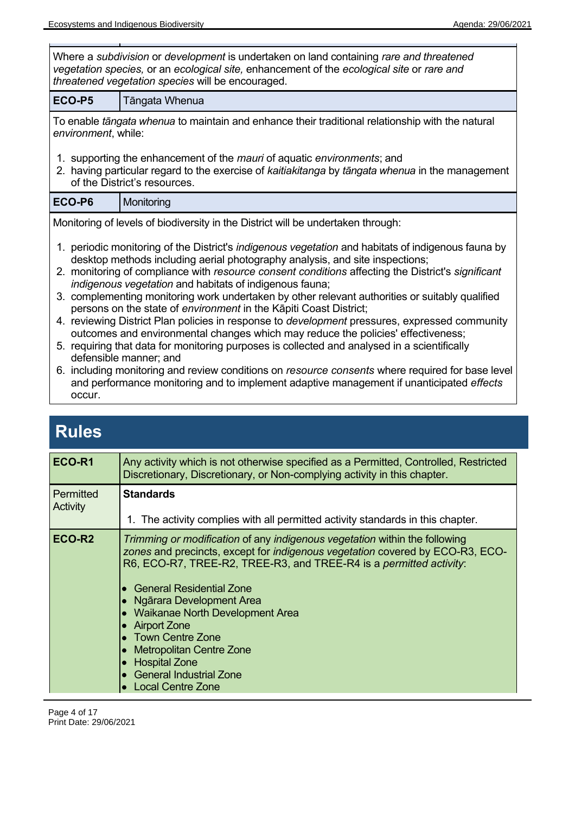| Where a subdivision or development is undertaken on land containing rare and threatened<br>vegetation species, or an ecological site, enhancement of the ecological site or rare and<br>threatened vegetation species will be encouraged. |                                                                                                                                                                                                                                                                                                                                                                                                                                                                                                                                                                                                                                                                                                                                                                                                                                                                                                                                                                                                                                                         |  |
|-------------------------------------------------------------------------------------------------------------------------------------------------------------------------------------------------------------------------------------------|---------------------------------------------------------------------------------------------------------------------------------------------------------------------------------------------------------------------------------------------------------------------------------------------------------------------------------------------------------------------------------------------------------------------------------------------------------------------------------------------------------------------------------------------------------------------------------------------------------------------------------------------------------------------------------------------------------------------------------------------------------------------------------------------------------------------------------------------------------------------------------------------------------------------------------------------------------------------------------------------------------------------------------------------------------|--|
| ECO-P5                                                                                                                                                                                                                                    | Tāngata Whenua                                                                                                                                                                                                                                                                                                                                                                                                                                                                                                                                                                                                                                                                                                                                                                                                                                                                                                                                                                                                                                          |  |
| environment, while:                                                                                                                                                                                                                       | To enable tāngata whenua to maintain and enhance their traditional relationship with the natural                                                                                                                                                                                                                                                                                                                                                                                                                                                                                                                                                                                                                                                                                                                                                                                                                                                                                                                                                        |  |
|                                                                                                                                                                                                                                           | 1. supporting the enhancement of the <i>mauri</i> of aquatic environments; and<br>2. having particular regard to the exercise of kaitiakitanga by tangata whenua in the management<br>of the District's resources.                                                                                                                                                                                                                                                                                                                                                                                                                                                                                                                                                                                                                                                                                                                                                                                                                                      |  |
| ECO-P6                                                                                                                                                                                                                                    | Monitoring                                                                                                                                                                                                                                                                                                                                                                                                                                                                                                                                                                                                                                                                                                                                                                                                                                                                                                                                                                                                                                              |  |
|                                                                                                                                                                                                                                           | Monitoring of levels of biodiversity in the District will be undertaken through:                                                                                                                                                                                                                                                                                                                                                                                                                                                                                                                                                                                                                                                                                                                                                                                                                                                                                                                                                                        |  |
|                                                                                                                                                                                                                                           | 1. periodic monitoring of the District's <i>indigenous vegetation</i> and habitats of indigenous fauna by<br>desktop methods including aerial photography analysis, and site inspections;<br>2. monitoring of compliance with resource consent conditions affecting the District's significant<br>indigenous vegetation and habitats of indigenous fauna;<br>3. complementing monitoring work undertaken by other relevant authorities or suitably qualified<br>persons on the state of environment in the Kāpiti Coast District;<br>4. reviewing District Plan policies in response to <i>development</i> pressures, expressed community<br>outcomes and environmental changes which may reduce the policies' effectiveness;<br>5. requiring that data for monitoring purposes is collected and analysed in a scientifically<br>defensible manner; and<br>6. including monitoring and review conditions on resource consents where required for base level<br>and performance monitoring and to implement adaptive management if unanticipated effects |  |
| occur.                                                                                                                                                                                                                                    |                                                                                                                                                                                                                                                                                                                                                                                                                                                                                                                                                                                                                                                                                                                                                                                                                                                                                                                                                                                                                                                         |  |

| ECO-R1                       | Any activity which is not otherwise specified as a Permitted, Controlled, Restricted<br>Discretionary, Discretionary, or Non-complying activity in this chapter.                                                                                                                                                                                                                                                                                                                                      |
|------------------------------|-------------------------------------------------------------------------------------------------------------------------------------------------------------------------------------------------------------------------------------------------------------------------------------------------------------------------------------------------------------------------------------------------------------------------------------------------------------------------------------------------------|
| <b>Permitted</b><br>Activity | <b>Standards</b><br>1. The activity complies with all permitted activity standards in this chapter.                                                                                                                                                                                                                                                                                                                                                                                                   |
| ECO-R <sub>2</sub>           | Trimming or modification of any indigenous vegetation within the following<br>zones and precincts, except for <i>indigenous vegetation</i> covered by ECO-R3, ECO-<br>R6, ECO-R7, TREE-R2, TREE-R3, and TREE-R4 is a permitted activity:<br>• General Residential Zone<br>• Ngārara Development Area<br>• Waikanae North Development Area<br>• Airport Zone<br><b>Town Centre Zone</b><br><b>Metropolitan Centre Zone</b><br>• Hospital Zone<br>• General Industrial Zone<br><b>Local Centre Zone</b> |

 $\overline{a}$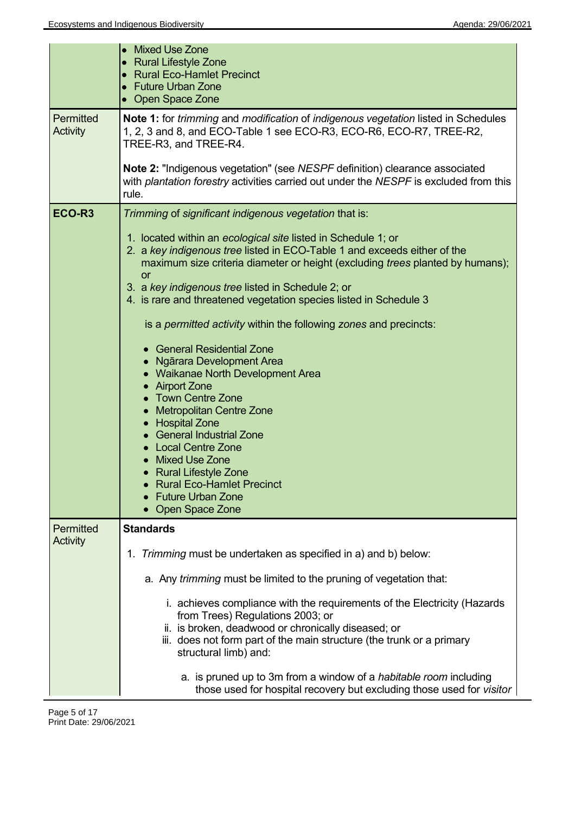|                              | • Mixed Use Zone<br>• Rural Lifestyle Zone<br>• Rural Eco-Hamlet Precinct<br>• Future Urban Zone<br>• Open Space Zone                                                                                                                                                                                                                                                                                                                                                                                                                                                                                                                                                                                                                                                                                                                                                                     |
|------------------------------|-------------------------------------------------------------------------------------------------------------------------------------------------------------------------------------------------------------------------------------------------------------------------------------------------------------------------------------------------------------------------------------------------------------------------------------------------------------------------------------------------------------------------------------------------------------------------------------------------------------------------------------------------------------------------------------------------------------------------------------------------------------------------------------------------------------------------------------------------------------------------------------------|
| Permitted<br><b>Activity</b> | Note 1: for trimming and modification of indigenous vegetation listed in Schedules<br>1, 2, 3 and 8, and ECO-Table 1 see ECO-R3, ECO-R6, ECO-R7, TREE-R2,<br>TREE-R3, and TREE-R4.                                                                                                                                                                                                                                                                                                                                                                                                                                                                                                                                                                                                                                                                                                        |
|                              | Note 2: "Indigenous vegetation" (see NESPF definition) clearance associated<br>with plantation forestry activities carried out under the NESPF is excluded from this<br>rule.                                                                                                                                                                                                                                                                                                                                                                                                                                                                                                                                                                                                                                                                                                             |
| ECO-R <sub>3</sub>           | Trimming of significant indigenous vegetation that is:<br>1. located within an ecological site listed in Schedule 1; or<br>2. a key indigenous tree listed in ECO-Table 1 and exceeds either of the<br>maximum size criteria diameter or height (excluding trees planted by humans);<br><b>or</b><br>3. a key indigenous tree listed in Schedule 2; or<br>4. is rare and threatened vegetation species listed in Schedule 3<br>is a permitted activity within the following zones and precincts:<br>• General Residential Zone<br>• Ngārara Development Area<br>• Waikanae North Development Area<br>• Airport Zone<br><b>Town Centre Zone</b><br>• Metropolitan Centre Zone<br>• Hospital Zone<br>• General Industrial Zone<br>• Local Centre Zone<br>• Mixed Use Zone<br><b>Rural Lifestyle Zone</b><br><b>Rural Eco-Hamlet Precinct</b><br><b>Future Urban Zone</b><br>Open Space Zone |
| Permitted<br><b>Activity</b> | <b>Standards</b>                                                                                                                                                                                                                                                                                                                                                                                                                                                                                                                                                                                                                                                                                                                                                                                                                                                                          |
|                              | 1. Trimming must be undertaken as specified in a) and b) below:                                                                                                                                                                                                                                                                                                                                                                                                                                                                                                                                                                                                                                                                                                                                                                                                                           |
|                              | a. Any trimming must be limited to the pruning of vegetation that:                                                                                                                                                                                                                                                                                                                                                                                                                                                                                                                                                                                                                                                                                                                                                                                                                        |
|                              | i. achieves compliance with the requirements of the Electricity (Hazards<br>from Trees) Regulations 2003; or<br>ii. is broken, deadwood or chronically diseased; or<br>iii. does not form part of the main structure (the trunk or a primary<br>structural limb) and:                                                                                                                                                                                                                                                                                                                                                                                                                                                                                                                                                                                                                     |
|                              | a. is pruned up to 3m from a window of a <i>habitable room</i> including<br>those used for hospital recovery but excluding those used for visitor                                                                                                                                                                                                                                                                                                                                                                                                                                                                                                                                                                                                                                                                                                                                         |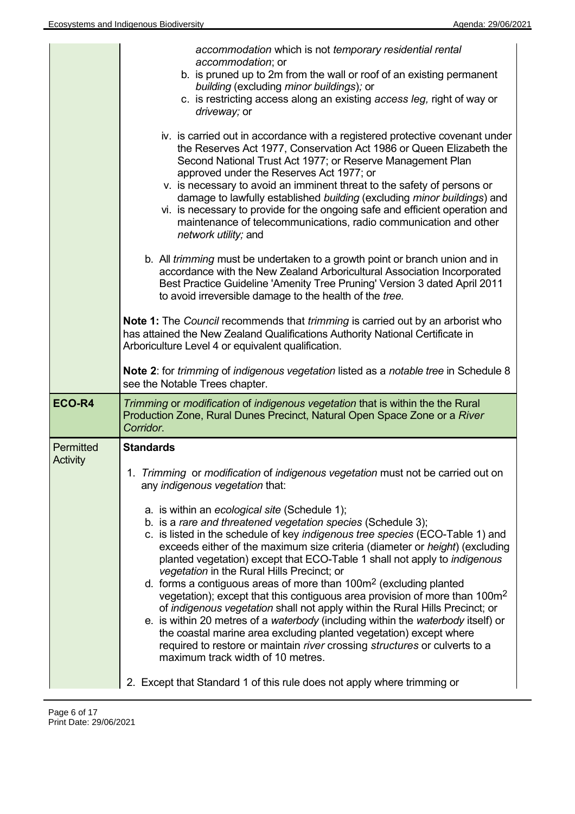|                              | accommodation which is not temporary residential rental<br>accommodation; or<br>b. is pruned up to 2m from the wall or roof of an existing permanent<br>building (excluding minor buildings); or<br>c. is restricting access along an existing access leg, right of way or<br>driveway; or<br>iv. is carried out in accordance with a registered protective covenant under                                                                                                                                                                                                                                                                                                                                                                                                                                                                                                                                                                              |
|------------------------------|---------------------------------------------------------------------------------------------------------------------------------------------------------------------------------------------------------------------------------------------------------------------------------------------------------------------------------------------------------------------------------------------------------------------------------------------------------------------------------------------------------------------------------------------------------------------------------------------------------------------------------------------------------------------------------------------------------------------------------------------------------------------------------------------------------------------------------------------------------------------------------------------------------------------------------------------------------|
|                              | the Reserves Act 1977, Conservation Act 1986 or Queen Elizabeth the<br>Second National Trust Act 1977; or Reserve Management Plan<br>approved under the Reserves Act 1977; or<br>v. is necessary to avoid an imminent threat to the safety of persons or<br>damage to lawfully established building (excluding minor buildings) and<br>vi. is necessary to provide for the ongoing safe and efficient operation and<br>maintenance of telecommunications, radio communication and other<br>network utility; and                                                                                                                                                                                                                                                                                                                                                                                                                                         |
|                              | b. All <i>trimming</i> must be undertaken to a growth point or branch union and in<br>accordance with the New Zealand Arboricultural Association Incorporated<br>Best Practice Guideline 'Amenity Tree Pruning' Version 3 dated April 2011<br>to avoid irreversible damage to the health of the tree.                                                                                                                                                                                                                                                                                                                                                                                                                                                                                                                                                                                                                                                   |
|                              | Note 1: The Council recommends that <i>trimming</i> is carried out by an arborist who<br>has attained the New Zealand Qualifications Authority National Certificate in<br>Arboriculture Level 4 or equivalent qualification.                                                                                                                                                                                                                                                                                                                                                                                                                                                                                                                                                                                                                                                                                                                            |
|                              | Note 2: for <i>trimming</i> of <i>indigenous vegetation</i> listed as a <i>notable tree</i> in Schedule 8<br>see the Notable Trees chapter.                                                                                                                                                                                                                                                                                                                                                                                                                                                                                                                                                                                                                                                                                                                                                                                                             |
| ECO-R4                       | Trimming or modification of indigenous vegetation that is within the the Rural<br>Production Zone, Rural Dunes Precinct, Natural Open Space Zone or a River<br>Corridor.                                                                                                                                                                                                                                                                                                                                                                                                                                                                                                                                                                                                                                                                                                                                                                                |
| Permitted<br><b>Activity</b> | <b>Standards</b>                                                                                                                                                                                                                                                                                                                                                                                                                                                                                                                                                                                                                                                                                                                                                                                                                                                                                                                                        |
|                              | 1. Trimming or modification of indigenous vegetation must not be carried out on<br>any indigenous vegetation that:                                                                                                                                                                                                                                                                                                                                                                                                                                                                                                                                                                                                                                                                                                                                                                                                                                      |
|                              | a. is within an ecological site (Schedule 1);<br>b. is a rare and threatened vegetation species (Schedule 3);<br>c. is listed in the schedule of key indigenous tree species (ECO-Table 1) and<br>exceeds either of the maximum size criteria (diameter or height) (excluding<br>planted vegetation) except that ECO-Table 1 shall not apply to <i>indigenous</i><br>vegetation in the Rural Hills Precinct; or<br>d. forms a contiguous areas of more than 100m <sup>2</sup> (excluding planted<br>vegetation); except that this contiguous area provision of more than 100m <sup>2</sup><br>of indigenous vegetation shall not apply within the Rural Hills Precinct; or<br>e. is within 20 metres of a waterbody (including within the waterbody itself) or<br>the coastal marine area excluding planted vegetation) except where<br>required to restore or maintain river crossing structures or culverts to a<br>maximum track width of 10 metres. |
|                              | 2. Except that Standard 1 of this rule does not apply where trimming or                                                                                                                                                                                                                                                                                                                                                                                                                                                                                                                                                                                                                                                                                                                                                                                                                                                                                 |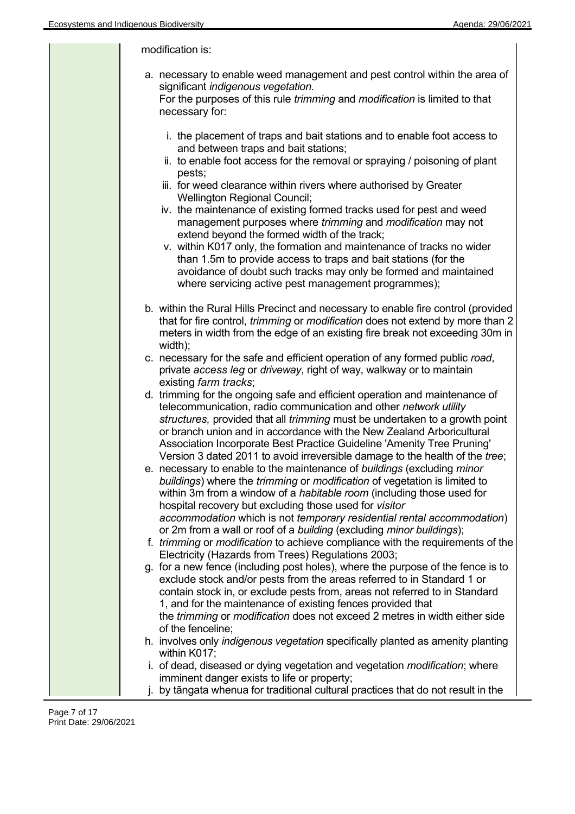| modification is:                                                                                                                                                                                                                                                                                                                                                                                                                                                                                            |
|-------------------------------------------------------------------------------------------------------------------------------------------------------------------------------------------------------------------------------------------------------------------------------------------------------------------------------------------------------------------------------------------------------------------------------------------------------------------------------------------------------------|
| a. necessary to enable weed management and pest control within the area of<br>significant indigenous vegetation.<br>For the purposes of this rule trimming and modification is limited to that<br>necessary for:                                                                                                                                                                                                                                                                                            |
| i. the placement of traps and bait stations and to enable foot access to<br>and between traps and bait stations;<br>ii. to enable foot access for the removal or spraying / poisoning of plant<br>pests;<br>iii. for weed clearance within rivers where authorised by Greater<br><b>Wellington Regional Council;</b><br>iv. the maintenance of existing formed tracks used for pest and weed<br>management purposes where trimming and modification may not<br>extend beyond the formed width of the track; |
| v. within K017 only, the formation and maintenance of tracks no wider<br>than 1.5m to provide access to traps and bait stations (for the<br>avoidance of doubt such tracks may only be formed and maintained<br>where servicing active pest management programmes);                                                                                                                                                                                                                                         |
| b. within the Rural Hills Precinct and necessary to enable fire control (provided<br>that for fire control, <i>trimming</i> or <i>modification</i> does not extend by more than 2<br>meters in width from the edge of an existing fire break not exceeding 30m in<br>width);                                                                                                                                                                                                                                |
| c. necessary for the safe and efficient operation of any formed public road,<br>private access leg or driveway, right of way, walkway or to maintain<br>existing farm tracks;                                                                                                                                                                                                                                                                                                                               |
| d. trimming for the ongoing safe and efficient operation and maintenance of<br>telecommunication, radio communication and other network utility<br>structures, provided that all trimming must be undertaken to a growth point<br>or branch union and in accordance with the New Zealand Arboricultural<br>Association Incorporate Best Practice Guideline 'Amenity Tree Pruning'<br>Version 3 dated 2011 to avoid irreversible damage to the health of the tree;                                           |
| e. necessary to enable to the maintenance of buildings (excluding minor<br>buildings) where the <i>trimming</i> or <i>modification</i> of vegetation is limited to<br>within 3m from a window of a <i>habitable room</i> (including those used for<br>hospital recovery but excluding those used for visitor<br>accommodation which is not temporary residential rental accommodation)                                                                                                                      |
| or 2m from a wall or roof of a building (excluding minor buildings);<br>f. trimming or modification to achieve compliance with the requirements of the<br>Electricity (Hazards from Trees) Regulations 2003;                                                                                                                                                                                                                                                                                                |
| g. for a new fence (including post holes), where the purpose of the fence is to<br>exclude stock and/or pests from the areas referred to in Standard 1 or<br>contain stock in, or exclude pests from, areas not referred to in Standard<br>1, and for the maintenance of existing fences provided that<br>the <i>trimming</i> or <i>modification</i> does not exceed 2 metres in width either side<br>of the fenceline;                                                                                     |
| h. involves only <i>indigenous vegetation</i> specifically planted as amenity planting<br>within K017;                                                                                                                                                                                                                                                                                                                                                                                                      |
| i. of dead, diseased or dying vegetation and vegetation modification; where<br>imminent danger exists to life or property;<br>j. by tāngata whenua for traditional cultural practices that do not result in the                                                                                                                                                                                                                                                                                             |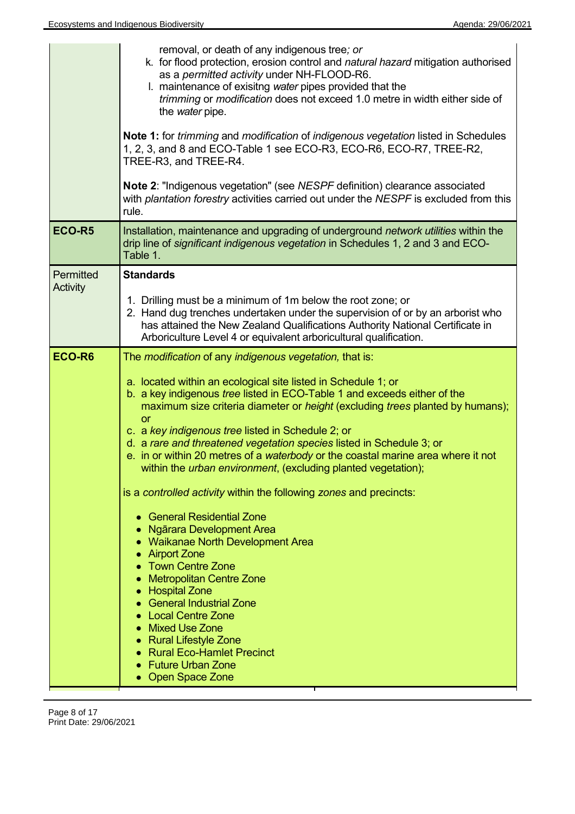| removal, or death of any indigenous tree; or<br>k. for flood protection, erosion control and natural hazard mitigation authorised<br>as a permitted activity under NH-FLOOD-R6.<br>I. maintenance of exisitng water pipes provided that the<br>trimming or modification does not exceed 1.0 metre in width either side of<br>the water pipe.<br><b>Note 1:</b> for <i>trimming</i> and <i>modification</i> of <i>indigenous vegetation</i> listed in Schedules<br>1, 2, 3, and 8 and ECO-Table 1 see ECO-R3, ECO-R6, ECO-R7, TREE-R2,<br>TREE-R3, and TREE-R4.<br><b>Note 2: "Indigenous vegetation" (see NESPF definition) clearance associated</b><br>with plantation forestry activities carried out under the NESPF is excluded from this<br>rule. |
|--------------------------------------------------------------------------------------------------------------------------------------------------------------------------------------------------------------------------------------------------------------------------------------------------------------------------------------------------------------------------------------------------------------------------------------------------------------------------------------------------------------------------------------------------------------------------------------------------------------------------------------------------------------------------------------------------------------------------------------------------------|
| Installation, maintenance and upgrading of underground network utilities within the<br>drip line of significant indigenous vegetation in Schedules 1, 2 and 3 and ECO-<br>Table 1.                                                                                                                                                                                                                                                                                                                                                                                                                                                                                                                                                                     |
| <b>Standards</b>                                                                                                                                                                                                                                                                                                                                                                                                                                                                                                                                                                                                                                                                                                                                       |
| 1. Drilling must be a minimum of 1m below the root zone; or<br>2. Hand dug trenches undertaken under the supervision of or by an arborist who<br>has attained the New Zealand Qualifications Authority National Certificate in<br>Arboriculture Level 4 or equivalent arboricultural qualification.                                                                                                                                                                                                                                                                                                                                                                                                                                                    |
| The <i>modification</i> of any <i>indigenous vegetation</i> , that is:                                                                                                                                                                                                                                                                                                                                                                                                                                                                                                                                                                                                                                                                                 |
| a. located within an ecological site listed in Schedule 1; or<br>b. a key indigenous tree listed in ECO-Table 1 and exceeds either of the<br>maximum size criteria diameter or <i>height</i> (excluding <i>trees</i> planted by humans);<br><b>or</b><br>c. a key indigenous tree listed in Schedule 2; or<br>d. a rare and threatened vegetation species listed in Schedule 3; or<br>e. in or within 20 metres of a waterbody or the coastal marine area where it not<br>within the <i>urban environment</i> , (excluding planted vegetation);<br>is a controlled activity within the following zones and precincts:<br><b>General Residential Zone</b><br>Ngārara Development Area                                                                   |
|                                                                                                                                                                                                                                                                                                                                                                                                                                                                                                                                                                                                                                                                                                                                                        |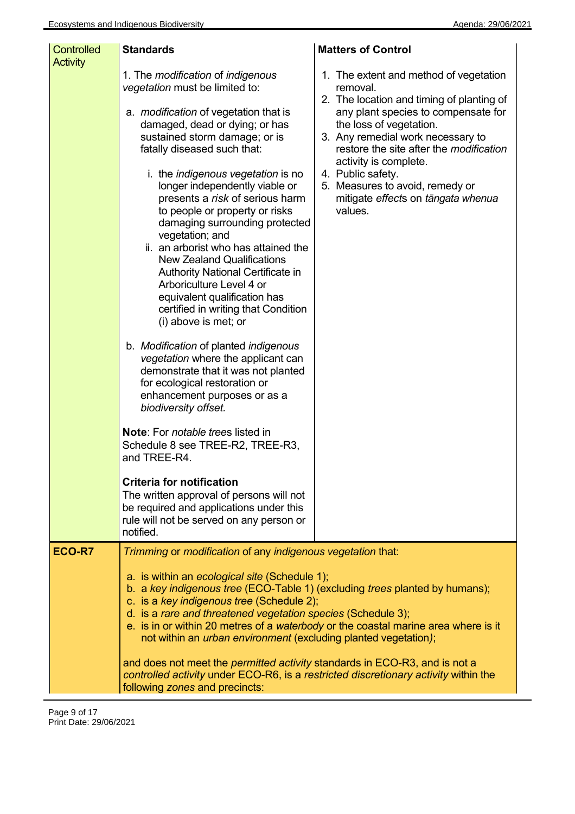| <b>Controlled</b><br><b>Activity</b> | <b>Standards</b>                                                                                                                                                                                                                                                                                                                                                                                                                                                                                                                                                                                                                                                                                                                                                                                                                                                                                                                                                                                                                                                                                                                                                                      | <b>Matters of Control</b>                                                                                                                                                                                                                                                                                                                                                           |
|--------------------------------------|---------------------------------------------------------------------------------------------------------------------------------------------------------------------------------------------------------------------------------------------------------------------------------------------------------------------------------------------------------------------------------------------------------------------------------------------------------------------------------------------------------------------------------------------------------------------------------------------------------------------------------------------------------------------------------------------------------------------------------------------------------------------------------------------------------------------------------------------------------------------------------------------------------------------------------------------------------------------------------------------------------------------------------------------------------------------------------------------------------------------------------------------------------------------------------------|-------------------------------------------------------------------------------------------------------------------------------------------------------------------------------------------------------------------------------------------------------------------------------------------------------------------------------------------------------------------------------------|
|                                      | 1. The modification of indigenous<br>vegetation must be limited to:<br>a. <i>modification</i> of vegetation that is<br>damaged, dead or dying; or has<br>sustained storm damage; or is<br>fatally diseased such that:<br>i. the <i>indigenous vegetation</i> is no<br>longer independently viable or<br>presents a risk of serious harm<br>to people or property or risks<br>damaging surrounding protected<br>vegetation; and<br>ii. an arborist who has attained the<br><b>New Zealand Qualifications</b><br>Authority National Certificate in<br>Arboriculture Level 4 or<br>equivalent qualification has<br>certified in writing that Condition<br>(i) above is met; or<br>b. Modification of planted indigenous<br>vegetation where the applicant can<br>demonstrate that it was not planted<br>for ecological restoration or<br>enhancement purposes or as a<br>biodiversity offset.<br><b>Note:</b> For <i>notable trees</i> listed in<br>Schedule 8 see TREE-R2, TREE-R3,<br>and TREE-R4.<br><b>Criteria for notification</b><br>The written approval of persons will not<br>be required and applications under this<br>rule will not be served on any person or<br>notified. | 1. The extent and method of vegetation<br>removal.<br>2. The location and timing of planting of<br>any plant species to compensate for<br>the loss of vegetation.<br>3. Any remedial work necessary to<br>restore the site after the modification<br>activity is complete.<br>4. Public safety.<br>5. Measures to avoid, remedy or<br>mitigate effects on tāngata whenua<br>values. |
| <b>ECO-R7</b>                        | Trimming or modification of any indigenous vegetation that:                                                                                                                                                                                                                                                                                                                                                                                                                                                                                                                                                                                                                                                                                                                                                                                                                                                                                                                                                                                                                                                                                                                           |                                                                                                                                                                                                                                                                                                                                                                                     |
|                                      | a. is within an ecological site (Schedule 1);<br>b. a key indigenous tree (ECO-Table 1) (excluding trees planted by humans);<br>c. is a key indigenous tree (Schedule 2);<br>d. is a rare and threatened vegetation species (Schedule 3);<br>not within an <i>urban environment</i> (excluding planted vegetation);<br>and does not meet the <i>permitted activity</i> standards in ECO-R3, and is not a<br>controlled activity under ECO-R6, is a restricted discretionary activity within the<br>following zones and precincts:                                                                                                                                                                                                                                                                                                                                                                                                                                                                                                                                                                                                                                                     | e. is in or within 20 metres of a waterbody or the coastal marine area where is it                                                                                                                                                                                                                                                                                                  |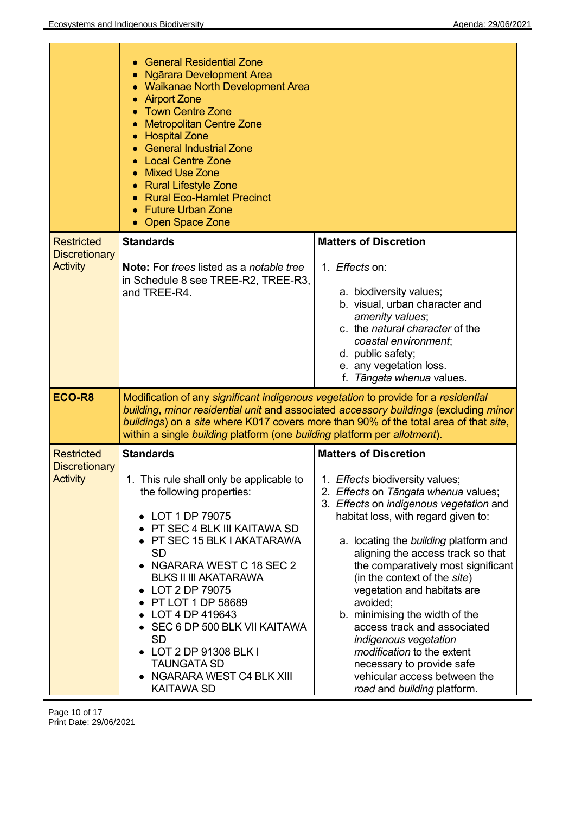|                                                              | <b>General Residential Zone</b><br><b>Ngārara Development Area</b><br><b>Waikanae North Development Area</b><br><b>Airport Zone</b><br><b>Town Centre Zone</b><br><b>Metropolitan Centre Zone</b><br><b>Hospital Zone</b><br><b>General Industrial Zone</b><br><b>Local Centre Zone</b><br><b>Mixed Use Zone</b><br><b>Rural Lifestyle Zone</b><br><b>Rural Eco-Hamlet Precinct</b><br><b>Future Urban Zone</b><br><b>Open Space Zone</b>                                 |                                                                                                                                                                                                                                                                                                                                                                                                                                                                                                                                                                                                                     |
|--------------------------------------------------------------|---------------------------------------------------------------------------------------------------------------------------------------------------------------------------------------------------------------------------------------------------------------------------------------------------------------------------------------------------------------------------------------------------------------------------------------------------------------------------|---------------------------------------------------------------------------------------------------------------------------------------------------------------------------------------------------------------------------------------------------------------------------------------------------------------------------------------------------------------------------------------------------------------------------------------------------------------------------------------------------------------------------------------------------------------------------------------------------------------------|
| <b>Restricted</b><br><b>Discretionary</b><br><b>Activity</b> | <b>Standards</b><br><b>Note:</b> For <i>trees</i> listed as a <i>notable tree</i><br>in Schedule 8 see TREE-R2, TREE-R3,<br>and TREE-R4.                                                                                                                                                                                                                                                                                                                                  | <b>Matters of Discretion</b><br>1. <i>Effects</i> on:<br>a. biodiversity values;<br>b. visual, urban character and<br>amenity values;<br>c. the natural character of the<br>coastal environment;<br>d. public safety;<br>e. any vegetation loss.<br>f. Tāngata whenua values.                                                                                                                                                                                                                                                                                                                                       |
| ECO-R8                                                       | Modification of any significant indigenous vegetation to provide for a residential<br>within a single building platform (one building platform per allotment).                                                                                                                                                                                                                                                                                                            | building, minor residential unit and associated accessory buildings (excluding minor<br>buildings) on a site where K017 covers more than 90% of the total area of that site,                                                                                                                                                                                                                                                                                                                                                                                                                                        |
| <b>Restricted</b><br><b>Discretionary</b><br><b>Activity</b> | <b>Standards</b><br>1. This rule shall only be applicable to<br>the following properties:<br>• LOT 1 DP 79075<br>• PT SEC 4 BLK III KAITAWA SD<br>• PT SEC 15 BLK I AKATARAWA<br><b>SD</b><br>• NGARARA WEST C 18 SEC 2<br><b>BLKS II III AKATARAWA</b><br>• LOT 2 DP 79075<br>• PT LOT 1 DP 58689<br>• LOT 4 DP 419643<br>• SEC 6 DP 500 BLK VII KAITAWA<br><b>SD</b><br>• LOT 2 DP 91308 BLK I<br><b>TAUNGATA SD</b><br>• NGARARA WEST C4 BLK XIII<br><b>KAITAWA SD</b> | <b>Matters of Discretion</b><br>1. Effects biodiversity values;<br>2. Effects on Tāngata whenua values;<br>3. Effects on indigenous vegetation and<br>habitat loss, with regard given to:<br>a. locating the building platform and<br>aligning the access track so that<br>the comparatively most significant<br>(in the context of the site)<br>vegetation and habitats are<br>avoided;<br>b. minimising the width of the<br>access track and associated<br>indigenous vegetation<br><i>modification</i> to the extent<br>necessary to provide safe<br>vehicular access between the<br>road and building platform. |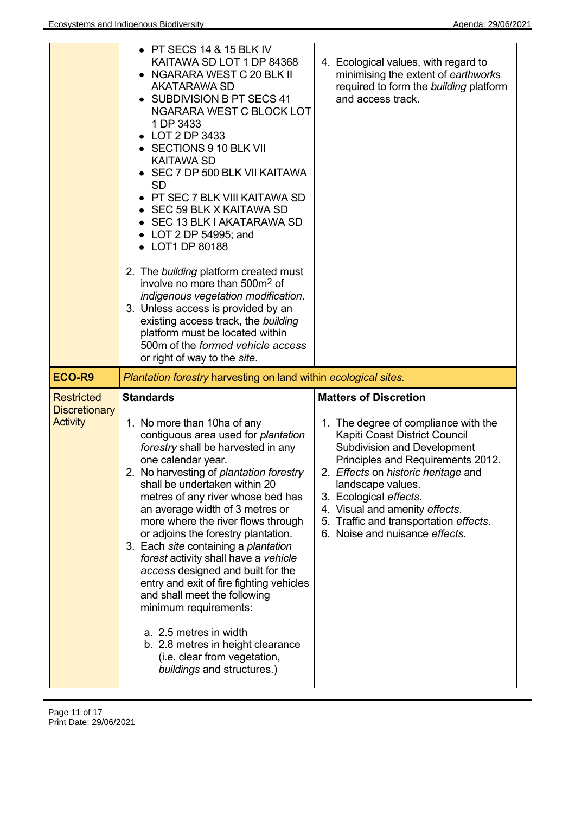|                                         | $\bullet$ PT SECS 14 & 15 BLK IV<br>KAITAWA SD LOT 1 DP 84368<br>NGARARA WEST C 20 BLK II<br><b>AKATARAWA SD</b><br>SUBDIVISION B PT SECS 41<br>NGARARA WEST C BLOCK LOT<br>1 DP 3433<br>• LOT 2 DP 3433<br>• SECTIONS 9 10 BLK VII<br><b>KAITAWA SD</b><br>SEC 7 DP 500 BLK VII KAITAWA<br><b>SD</b><br>PT SEC 7 BLK VIII KAITAWA SD<br>• SEC 59 BLK X KAITAWA SD<br>• SEC 13 BLK I AKATARAWA SD<br>• LOT 2 DP 54995; and<br>• LOT1 DP 80188<br>2. The building platform created must<br>involve no more than 500m <sup>2</sup> of<br>indigenous vegetation modification.<br>3. Unless access is provided by an<br>existing access track, the building<br>platform must be located within<br>500m of the formed vehicle access<br>or right of way to the site. | 4. Ecological values, with regard to<br>minimising the extent of earthworks<br>required to form the building platform<br>and access track.                                                                                                                                                                                                           |
|-----------------------------------------|-----------------------------------------------------------------------------------------------------------------------------------------------------------------------------------------------------------------------------------------------------------------------------------------------------------------------------------------------------------------------------------------------------------------------------------------------------------------------------------------------------------------------------------------------------------------------------------------------------------------------------------------------------------------------------------------------------------------------------------------------------------------|------------------------------------------------------------------------------------------------------------------------------------------------------------------------------------------------------------------------------------------------------------------------------------------------------------------------------------------------------|
| ECO-R9                                  | Plantation forestry harvesting-on land within ecological sites.                                                                                                                                                                                                                                                                                                                                                                                                                                                                                                                                                                                                                                                                                                 |                                                                                                                                                                                                                                                                                                                                                      |
|                                         | <b>Standards</b>                                                                                                                                                                                                                                                                                                                                                                                                                                                                                                                                                                                                                                                                                                                                                | <b>Matters of Discretion</b>                                                                                                                                                                                                                                                                                                                         |
| <b>Discretionary</b><br><b>Activity</b> | 1. No more than 10ha of any<br>contiguous area used for plantation<br>forestry shall be harvested in any<br>one calendar year.<br>2. No harvesting of plantation forestry<br>shall be undertaken within 20<br>metres of any river whose bed has<br>an average width of 3 metres or<br>more where the river flows through<br>or adjoins the forestry plantation.<br>3. Each site containing a plantation                                                                                                                                                                                                                                                                                                                                                         | 1. The degree of compliance with the<br>Kapiti Coast District Council<br><b>Subdivision and Development</b><br>Principles and Requirements 2012.<br>2. Effects on historic heritage and<br>landscape values.<br>3. Ecological effects.<br>4. Visual and amenity effects.<br>5. Traffic and transportation effects.<br>6. Noise and nuisance effects. |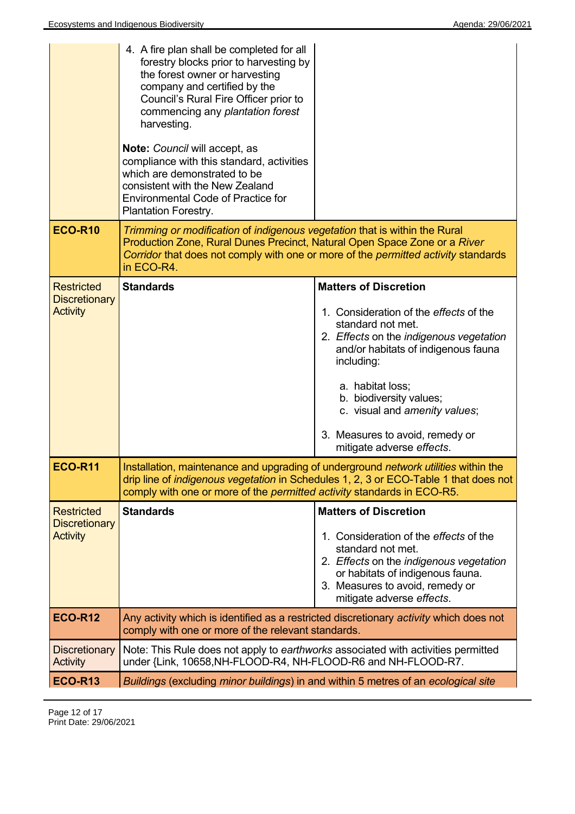|                                                              | 4. A fire plan shall be completed for all<br>forestry blocks prior to harvesting by<br>the forest owner or harvesting<br>company and certified by the<br>Council's Rural Fire Officer prior to<br>commencing any plantation forest<br>harvesting.<br>Note: Council will accept, as<br>compliance with this standard, activities<br>which are demonstrated to be<br>consistent with the New Zealand<br><b>Environmental Code of Practice for</b><br><b>Plantation Forestry.</b> |                                                                                                                                                                                                                                                                                                             |
|--------------------------------------------------------------|--------------------------------------------------------------------------------------------------------------------------------------------------------------------------------------------------------------------------------------------------------------------------------------------------------------------------------------------------------------------------------------------------------------------------------------------------------------------------------|-------------------------------------------------------------------------------------------------------------------------------------------------------------------------------------------------------------------------------------------------------------------------------------------------------------|
| <b>ECO-R10</b>                                               | Trimming or modification of indigenous vegetation that is within the Rural<br>Production Zone, Rural Dunes Precinct, Natural Open Space Zone or a River<br>in ECO-R4.                                                                                                                                                                                                                                                                                                          | Corridor that does not comply with one or more of the permitted activity standards                                                                                                                                                                                                                          |
| <b>Restricted</b><br><b>Discretionary</b>                    | <b>Standards</b>                                                                                                                                                                                                                                                                                                                                                                                                                                                               | <b>Matters of Discretion</b>                                                                                                                                                                                                                                                                                |
| <b>Activity</b>                                              |                                                                                                                                                                                                                                                                                                                                                                                                                                                                                | 1. Consideration of the effects of the<br>standard not met.<br>2. Effects on the indigenous vegetation<br>and/or habitats of indigenous fauna<br>including:<br>a. habitat loss;<br>b. biodiversity values;<br>c. visual and amenity values;<br>3. Measures to avoid, remedy or<br>mitigate adverse effects. |
| <b>ECO-R11</b>                                               | Installation, maintenance and upgrading of underground network utilities within the<br>drip line of <i>indigenous vegetation</i> in Schedules 1, 2, 3 or ECO-Table 1 that does not<br>comply with one or more of the <i>permitted activity</i> standards in ECO-R5.                                                                                                                                                                                                            |                                                                                                                                                                                                                                                                                                             |
| <b>Restricted</b><br><b>Discretionary</b><br><b>Activity</b> | <b>Standards</b>                                                                                                                                                                                                                                                                                                                                                                                                                                                               | <b>Matters of Discretion</b><br>1. Consideration of the effects of the<br>standard not met.<br>2. Effects on the indigenous vegetation<br>or habitats of indigenous fauna.<br>3. Measures to avoid, remedy or<br>mitigate adverse effects.                                                                  |
| <b>ECO-R12</b>                                               | comply with one or more of the relevant standards.                                                                                                                                                                                                                                                                                                                                                                                                                             | Any activity which is identified as a restricted discretionary activity which does not                                                                                                                                                                                                                      |
| <b>Discretionary</b><br><b>Activity</b>                      | Note: This Rule does not apply to earthworks associated with activities permitted<br>under {Link, 10658, NH-FLOOD-R4, NH-FLOOD-R6 and NH-FLOOD-R7.                                                                                                                                                                                                                                                                                                                             |                                                                                                                                                                                                                                                                                                             |
| <b>ECO-R13</b>                                               | Buildings (excluding minor buildings) in and within 5 metres of an ecological site                                                                                                                                                                                                                                                                                                                                                                                             |                                                                                                                                                                                                                                                                                                             |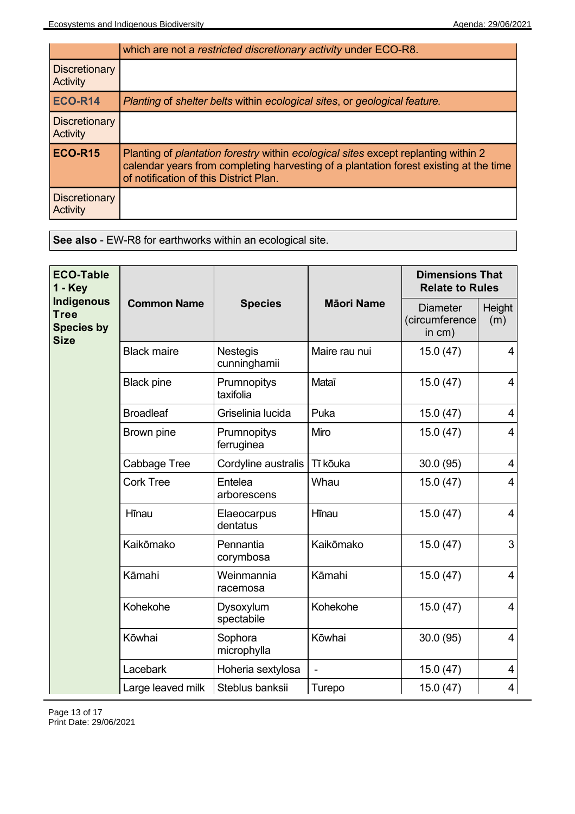|                                         | which are not a restricted discretionary activity under ECO-R8.                                                                                                                                                                     |
|-----------------------------------------|-------------------------------------------------------------------------------------------------------------------------------------------------------------------------------------------------------------------------------------|
| <b>Discretionary</b><br><b>Activity</b> |                                                                                                                                                                                                                                     |
| <b>ECO-R14</b>                          | Planting of shelter belts within ecological sites, or geological feature.                                                                                                                                                           |
| <b>Discretionary</b><br><b>Activity</b> |                                                                                                                                                                                                                                     |
| ECO-R15                                 | Planting of <i>plantation forestry</i> within <i>ecological sites</i> except replanting within 2<br>calendar years from completing harvesting of a plantation forest existing at the time<br>of notification of this District Plan. |
| <b>Discretionary</b><br><b>Activity</b> |                                                                                                                                                                                                                                     |

**See also** - EW-R8 for earthworks within an ecological site.

| <b>ECO-Table</b><br>$1 - Key$                                 |                    | <b>Species</b>                  | <b>Māori Name</b> | <b>Dimensions That</b><br><b>Relate to Rules</b> |                         |
|---------------------------------------------------------------|--------------------|---------------------------------|-------------------|--------------------------------------------------|-------------------------|
| Indigenous<br><b>Tree</b><br><b>Species by</b><br><b>Size</b> | <b>Common Name</b> |                                 |                   | <b>Diameter</b><br>(circumference<br>in cm)      | Height<br>(m)           |
|                                                               | <b>Black maire</b> | <b>Nestegis</b><br>cunninghamii | Maire rau nui     | 15.0(47)                                         | 4                       |
|                                                               | <b>Black pine</b>  | Prumnopitys<br>taxifolia        | Mataī             | 15.0(47)                                         | $\overline{4}$          |
|                                                               | <b>Broadleaf</b>   | Griselinia lucida               | Puka              | 15.0(47)                                         | 4                       |
|                                                               | Brown pine         | Prumnopitys<br>ferruginea       | Miro              | 15.0(47)                                         | 4                       |
|                                                               | Cabbage Tree       | Cordyline australis             | Tī kōuka          | 30.0(95)                                         | 4                       |
|                                                               | <b>Cork Tree</b>   | Entelea<br>arborescens          | Whau              | 15.0(47)                                         | $\overline{4}$          |
|                                                               | Hīnau              | Elaeocarpus<br>dentatus         | Hīnau             | 15.0(47)                                         | $\overline{\mathbf{4}}$ |
|                                                               | Kaikōmako          | Pennantia<br>corymbosa          | Kaikōmako         | 15.0(47)                                         | 3                       |
|                                                               | Kāmahi             | Weinmannia<br>racemosa          | Kāmahi            | 15.0(47)                                         | 4                       |
|                                                               | Kohekohe           | Dysoxylum<br>spectabile         | Kohekohe          | 15.0(47)                                         | 4                       |
|                                                               | Kōwhai             | Sophora<br>microphylla          | Kōwhai            | 30.0(95)                                         | $\overline{4}$          |
|                                                               | Lacebark           | Hoheria sextylosa               |                   | 15.0(47)                                         | 4                       |
|                                                               | Large leaved milk  | Steblus banksii                 | Turepo            | 15.0(47)                                         | $\overline{4}$          |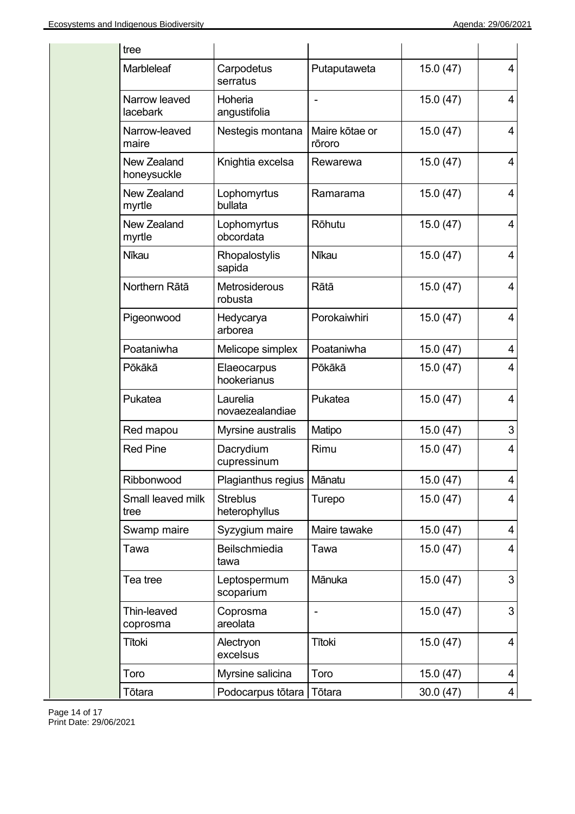| tree                              |                                  |                          |          |  |
|-----------------------------------|----------------------------------|--------------------------|----------|--|
| Marbleleaf                        | Carpodetus<br>serratus           | Putaputaweta             | 15.0(47) |  |
| Narrow leaved<br>lacebark         | Hoheria<br>angustifolia          |                          | 15.0(47) |  |
| Narrow-leaved<br>maire            | Nestegis montana                 | Maire kōtae or<br>rōroro | 15.0(47) |  |
| <b>New Zealand</b><br>honeysuckle | Knightia excelsa                 | Rewarewa                 | 15.0(47) |  |
| <b>New Zealand</b><br>myrtle      | Lophomyrtus<br>bullata           | Ramarama                 | 15.0(47) |  |
| New Zealand<br>myrtle             | Lophomyrtus<br>obcordata         | Rōhutu                   | 15.0(47) |  |
| <b>Nīkau</b>                      | Rhopalostylis<br>sapida          | Nīkau                    | 15.0(47) |  |
| Northern Rātā                     | <b>Metrosiderous</b><br>robusta  | Rātā                     | 15.0(47) |  |
| Pigeonwood                        | Hedycarya<br>arborea             | Porokaiwhiri             | 15.0(47) |  |
| Poataniwha                        | Melicope simplex                 | Poataniwha               | 15.0(47) |  |
| Pōkākā                            | Elaeocarpus<br>hookerianus       | Pōkākā                   | 15.0(47) |  |
| Pukatea                           | Laurelia<br>novaezealandiae      | Pukatea                  | 15.0(47) |  |
| Red mapou                         | Myrsine australis                | Matipo                   | 15.0(47) |  |
| <b>Red Pine</b>                   | Dacrydium<br>cupressinum         | Rimu                     | 15.0(47) |  |
| Ribbonwood                        | Plagianthus regius               | Mānatu                   | 15.0(47) |  |
| Small leaved milk<br>tree         | <b>Streblus</b><br>heterophyllus | Turepo                   | 15.0(47) |  |
| Swamp maire                       | Syzygium maire                   | Maire tawake             | 15.0(47) |  |
| Tawa                              | Beilschmiedia<br>tawa            | Tawa                     | 15.0(47) |  |
| Tea tree                          | Leptospermum<br>scoparium        | Mānuka                   | 15.0(47) |  |
| Thin-leaved<br>coprosma           | Coprosma<br>areolata             |                          | 15.0(47) |  |
| <b>Tītoki</b>                     | Alectryon<br>excelsus            | Tītoki                   | 15.0(47) |  |
| Toro                              | Myrsine salicina                 | Toro                     | 15.0(47) |  |
| Tōtara                            | Podocarpus tōtara                | Tōtara                   | 30.0(47) |  |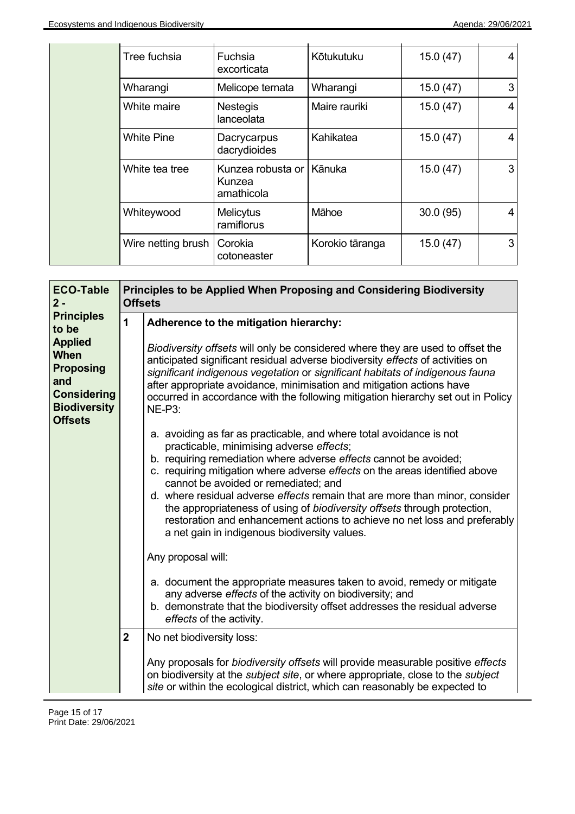|  | Tree fuchsia       | Fuchsia<br>excorticata                    | Kōtukutuku      | 15.0(47) | 4 |
|--|--------------------|-------------------------------------------|-----------------|----------|---|
|  | Wharangi           | Melicope ternata                          | Wharangi        | 15.0(47) | 3 |
|  | White maire        | <b>Nestegis</b><br>lanceolata             | Maire rauriki   | 15.0(47) | 4 |
|  | <b>White Pine</b>  | Dacrycarpus<br>dacrydioides               | Kahikatea       | 15.0(47) | 4 |
|  | White tea tree     | Kunzea robusta or<br>Kunzea<br>amathicola | Kānuka          | 15.0(47) | 3 |
|  | Whiteywood         | Melicytus<br>ramiflorus                   | Māhoe           | 30.0(95) | 4 |
|  | Wire netting brush | Corokia<br>cotoneaster                    | Korokio tāranga | 15.0(47) | 3 |

| <b>ECO-Table</b><br>$2 -$                                                                                        | Principles to be Applied When Proposing and Considering Biodiversity<br><b>Offsets</b> |                                                                                                                                                                                                                                                                                                                                                                                                                                                                                                                                                                                                      |  |  |
|------------------------------------------------------------------------------------------------------------------|----------------------------------------------------------------------------------------|------------------------------------------------------------------------------------------------------------------------------------------------------------------------------------------------------------------------------------------------------------------------------------------------------------------------------------------------------------------------------------------------------------------------------------------------------------------------------------------------------------------------------------------------------------------------------------------------------|--|--|
| <b>Principles</b><br>to be                                                                                       | 1                                                                                      | Adherence to the mitigation hierarchy:                                                                                                                                                                                                                                                                                                                                                                                                                                                                                                                                                               |  |  |
| <b>Applied</b><br>When<br><b>Proposing</b><br>and<br><b>Considering</b><br><b>Biodiversity</b><br><b>Offsets</b> |                                                                                        | Biodiversity offsets will only be considered where they are used to offset the<br>anticipated significant residual adverse biodiversity effects of activities on<br>significant indigenous vegetation or significant habitats of indigenous fauna<br>after appropriate avoidance, minimisation and mitigation actions have<br>occurred in accordance with the following mitigation hierarchy set out in Policy<br><b>NE-P3:</b>                                                                                                                                                                      |  |  |
|                                                                                                                  |                                                                                        | a. avoiding as far as practicable, and where total avoidance is not<br>practicable, minimising adverse effects;<br>b. requiring remediation where adverse effects cannot be avoided;<br>c. requiring mitigation where adverse effects on the areas identified above<br>cannot be avoided or remediated; and<br>d. where residual adverse effects remain that are more than minor, consider<br>the appropriateness of using of biodiversity offsets through protection,<br>restoration and enhancement actions to achieve no net loss and preferably<br>a net gain in indigenous biodiversity values. |  |  |
|                                                                                                                  |                                                                                        | Any proposal will:<br>a. document the appropriate measures taken to avoid, remedy or mitigate<br>any adverse effects of the activity on biodiversity; and<br>b. demonstrate that the biodiversity offset addresses the residual adverse                                                                                                                                                                                                                                                                                                                                                              |  |  |
|                                                                                                                  | $\mathbf{2}$                                                                           | effects of the activity.<br>No net biodiversity loss:                                                                                                                                                                                                                                                                                                                                                                                                                                                                                                                                                |  |  |
|                                                                                                                  |                                                                                        | Any proposals for biodiversity offsets will provide measurable positive effects<br>on biodiversity at the <i>subject site</i> , or where appropriate, close to the <i>subject</i><br>site or within the ecological district, which can reasonably be expected to                                                                                                                                                                                                                                                                                                                                     |  |  |

 $\overline{a}$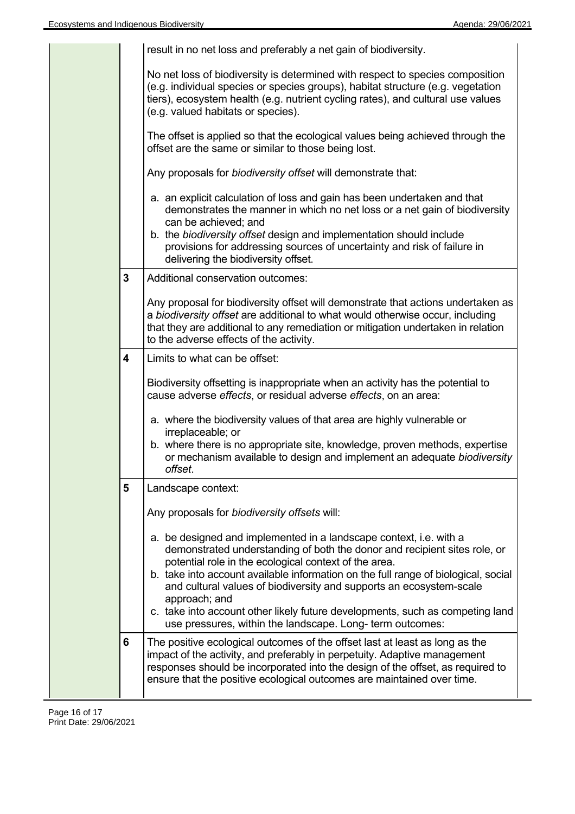| result in no net loss and preferably a net gain of biodiversity.                                                                                                                                                                                                                                                                                                                                                                                                        |
|-------------------------------------------------------------------------------------------------------------------------------------------------------------------------------------------------------------------------------------------------------------------------------------------------------------------------------------------------------------------------------------------------------------------------------------------------------------------------|
| No net loss of biodiversity is determined with respect to species composition<br>(e.g. individual species or species groups), habitat structure (e.g. vegetation<br>tiers), ecosystem health (e.g. nutrient cycling rates), and cultural use values<br>(e.g. valued habitats or species).                                                                                                                                                                               |
| The offset is applied so that the ecological values being achieved through the<br>offset are the same or similar to those being lost.                                                                                                                                                                                                                                                                                                                                   |
| Any proposals for biodiversity offset will demonstrate that:                                                                                                                                                                                                                                                                                                                                                                                                            |
| a. an explicit calculation of loss and gain has been undertaken and that<br>demonstrates the manner in which no net loss or a net gain of biodiversity<br>can be achieved; and<br>b. the biodiversity offset design and implementation should include<br>provisions for addressing sources of uncertainty and risk of failure in<br>delivering the biodiversity offset.                                                                                                 |
| 3<br>Additional conservation outcomes:                                                                                                                                                                                                                                                                                                                                                                                                                                  |
| Any proposal for biodiversity offset will demonstrate that actions undertaken as<br>a biodiversity offset are additional to what would otherwise occur, including<br>that they are additional to any remediation or mitigation undertaken in relation<br>to the adverse effects of the activity.                                                                                                                                                                        |
| 4<br>Limits to what can be offset:                                                                                                                                                                                                                                                                                                                                                                                                                                      |
| Biodiversity offsetting is inappropriate when an activity has the potential to<br>cause adverse effects, or residual adverse effects, on an area:                                                                                                                                                                                                                                                                                                                       |
| a. where the biodiversity values of that area are highly vulnerable or<br>irreplaceable; or<br>b. where there is no appropriate site, knowledge, proven methods, expertise<br>or mechanism available to design and implement an adequate biodiversity<br>offset.                                                                                                                                                                                                        |
| 5<br>Landscape context:                                                                                                                                                                                                                                                                                                                                                                                                                                                 |
| Any proposals for biodiversity offsets will:                                                                                                                                                                                                                                                                                                                                                                                                                            |
| a. be designed and implemented in a landscape context, i.e. with a<br>demonstrated understanding of both the donor and recipient sites role, or<br>potential role in the ecological context of the area.<br>b. take into account available information on the full range of biological, social<br>and cultural values of biodiversity and supports an ecosystem-scale<br>approach; and<br>c. take into account other likely future developments, such as competing land |
| use pressures, within the landscape. Long- term outcomes:                                                                                                                                                                                                                                                                                                                                                                                                               |
| 6<br>The positive ecological outcomes of the offset last at least as long as the<br>impact of the activity, and preferably in perpetuity. Adaptive management<br>responses should be incorporated into the design of the offset, as required to<br>ensure that the positive ecological outcomes are maintained over time.                                                                                                                                               |